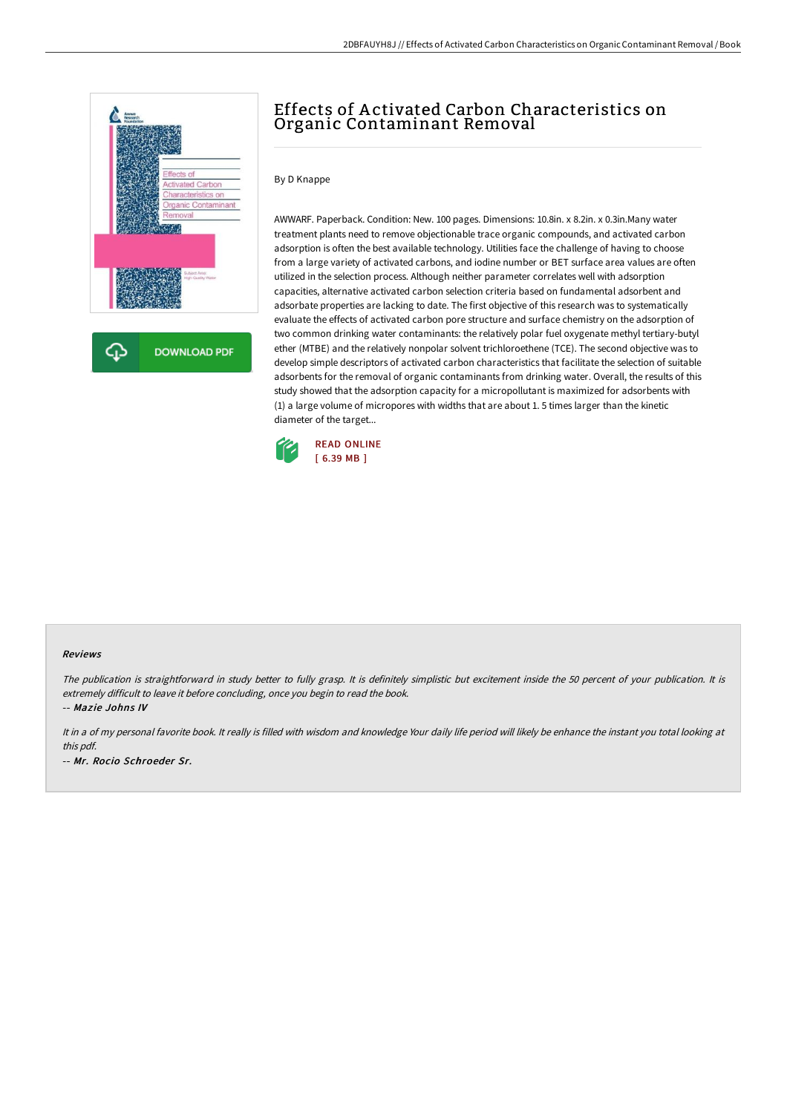

# Effects of A ctivated Carbon Characteristics on Organic Contaminant Removal

#### By D Knappe

AWWARF. Paperback. Condition: New. 100 pages. Dimensions: 10.8in. x 8.2in. x 0.3in.Many water treatment plants need to remove objectionable trace organic compounds, and activated carbon adsorption is often the best available technology. Utilities face the challenge of having to choose from a large variety of activated carbons, and iodine number or BET surface area values are often utilized in the selection process. Although neither parameter correlates well with adsorption capacities, alternative activated carbon selection criteria based on fundamental adsorbent and adsorbate properties are lacking to date. The first objective of this research was to systematically evaluate the effects of activated carbon pore structure and surface chemistry on the adsorption of two common drinking water contaminants: the relatively polar fuel oxygenate methyl tertiary-butyl ether (MTBE) and the relatively nonpolar solvent trichloroethene (TCE). The second objective was to develop simple descriptors of activated carbon characteristics that facilitate the selection of suitable adsorbents for the removal of organic contaminants from drinking water. Overall, the results of this study showed that the adsorption capacity for a micropollutant is maximized for adsorbents with (1) a large volume of micropores with widths that are about 1. 5 times larger than the kinetic diameter of the target...



#### Reviews

The publication is straightforward in study better to fully grasp. It is definitely simplistic but excitement inside the 50 percent of your publication. It is extremely difficult to leave it before concluding, once you begin to read the book.

-- Mazie Johns IV

It in a of my personal favorite book. It really is filled with wisdom and knowledge Your daily life period will likely be enhance the instant you total looking at this pdf. -- Mr. Rocio Schroeder Sr.